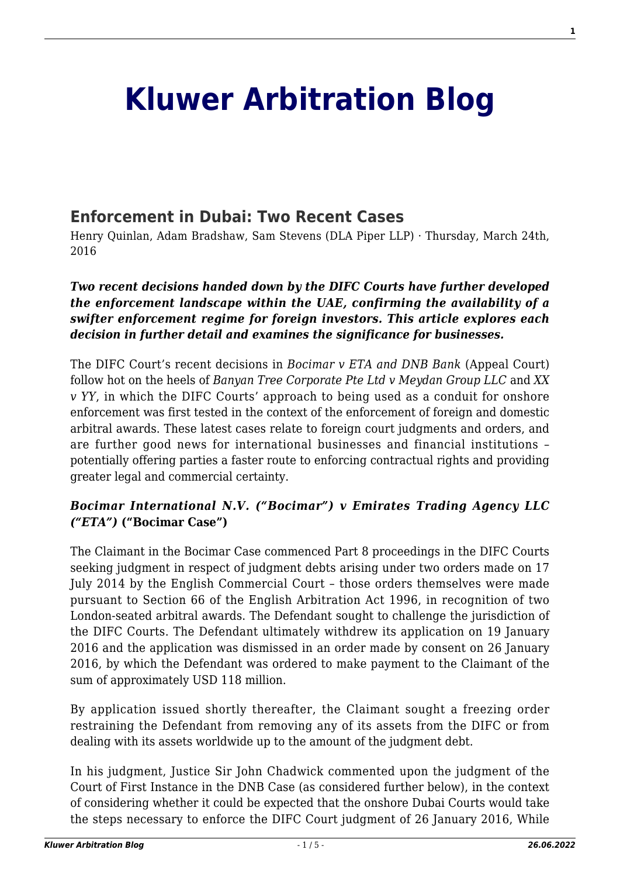# **[Kluwer Arbitration Blog](http://arbitrationblog.kluwerarbitration.com/)**

## **[Enforcement in Dubai: Two Recent Cases](http://arbitrationblog.kluwerarbitration.com/2016/03/24/enforcement-in-dubai-two-recent-cases/)**

Henry Quinlan, Adam Bradshaw, Sam Stevens (DLA Piper LLP) · Thursday, March 24th, 2016

#### *Two recent decisions handed down by the DIFC Courts have further developed the enforcement landscape within the UAE, confirming the availability of a swifter enforcement regime for foreign investors. This article explores each decision in further detail and examines the significance for businesses.*

The DIFC Court's recent decisions in *Bocimar v ETA and DNB Bank* (Appeal Court) follow hot on the heels of *Banyan Tree Corporate Pte Ltd v Meydan Group LLC* and *XX v YY*, in which the DIFC Courts' approach to being used as a conduit for onshore enforcement was first tested in the context of the enforcement of foreign and domestic arbitral awards. These latest cases relate to foreign court judgments and orders, and are further good news for international businesses and financial institutions – potentially offering parties a faster route to enforcing contractual rights and providing greater legal and commercial certainty.

#### *Bocimar International N.V. ("Bocimar") v Emirates Trading Agency LLC ("ETA")* **("Bocimar Case")**

The Claimant in the Bocimar Case commenced Part 8 proceedings in the DIFC Courts seeking judgment in respect of judgment debts arising under two orders made on 17 July 2014 by the English Commercial Court – those orders themselves were made pursuant to Section 66 of the English Arbitration Act 1996, in recognition of two London-seated arbitral awards. The Defendant sought to challenge the jurisdiction of the DIFC Courts. The Defendant ultimately withdrew its application on 19 January 2016 and the application was dismissed in an order made by consent on 26 January 2016, by which the Defendant was ordered to make payment to the Claimant of the sum of approximately USD 118 million.

By application issued shortly thereafter, the Claimant sought a freezing order restraining the Defendant from removing any of its assets from the DIFC or from dealing with its assets worldwide up to the amount of the judgment debt.

In his judgment, Justice Sir John Chadwick commented upon the judgment of the Court of First Instance in the DNB Case (as considered further below), in the context of considering whether it could be expected that the onshore Dubai Courts would take the steps necessary to enforce the DIFC Court judgment of 26 January 2016, While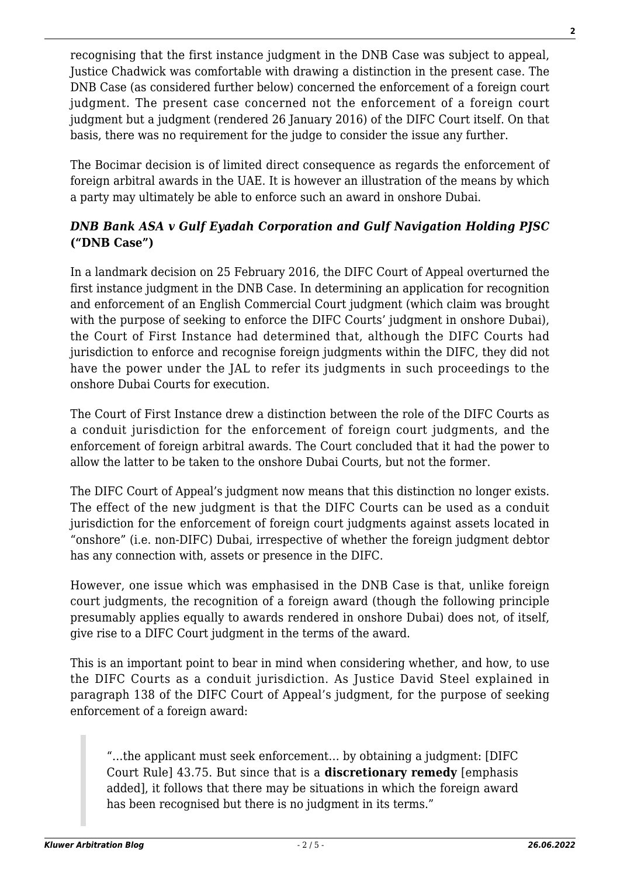recognising that the first instance judgment in the DNB Case was subject to appeal, Justice Chadwick was comfortable with drawing a distinction in the present case. The DNB Case (as considered further below) concerned the enforcement of a foreign court judgment. The present case concerned not the enforcement of a foreign court judgment but a judgment (rendered 26 January 2016) of the DIFC Court itself. On that basis, there was no requirement for the judge to consider the issue any further.

The Bocimar decision is of limited direct consequence as regards the enforcement of foreign arbitral awards in the UAE. It is however an illustration of the means by which a party may ultimately be able to enforce such an award in onshore Dubai.

## *DNB Bank ASA v Gulf Eyadah Corporation and Gulf Navigation Holding PJSC* **("DNB Case")**

In a landmark decision on 25 February 2016, the DIFC Court of Appeal overturned the first instance judgment in the DNB Case. In determining an application for recognition and enforcement of an English Commercial Court judgment (which claim was brought with the purpose of seeking to enforce the DIFC Courts' judgment in onshore Dubai), the Court of First Instance had determined that, although the DIFC Courts had jurisdiction to enforce and recognise foreign judgments within the DIFC, they did not have the power under the JAL to refer its judgments in such proceedings to the onshore Dubai Courts for execution.

The Court of First Instance drew a distinction between the role of the DIFC Courts as a conduit jurisdiction for the enforcement of foreign court judgments, and the enforcement of foreign arbitral awards. The Court concluded that it had the power to allow the latter to be taken to the onshore Dubai Courts, but not the former.

The DIFC Court of Appeal's judgment now means that this distinction no longer exists. The effect of the new judgment is that the DIFC Courts can be used as a conduit jurisdiction for the enforcement of foreign court judgments against assets located in "onshore" (i.e. non-DIFC) Dubai, irrespective of whether the foreign judgment debtor has any connection with, assets or presence in the DIFC.

However, one issue which was emphasised in the DNB Case is that, unlike foreign court judgments, the recognition of a foreign award (though the following principle presumably applies equally to awards rendered in onshore Dubai) does not, of itself, give rise to a DIFC Court judgment in the terms of the award.

This is an important point to bear in mind when considering whether, and how, to use the DIFC Courts as a conduit jurisdiction. As Justice David Steel explained in paragraph 138 of the DIFC Court of Appeal's judgment, for the purpose of seeking enforcement of a foreign award:

"…the applicant must seek enforcement… by obtaining a judgment: [DIFC Court Rule] 43.75. But since that is a **discretionary remedy** [emphasis added], it follows that there may be situations in which the foreign award has been recognised but there is no judgment in its terms."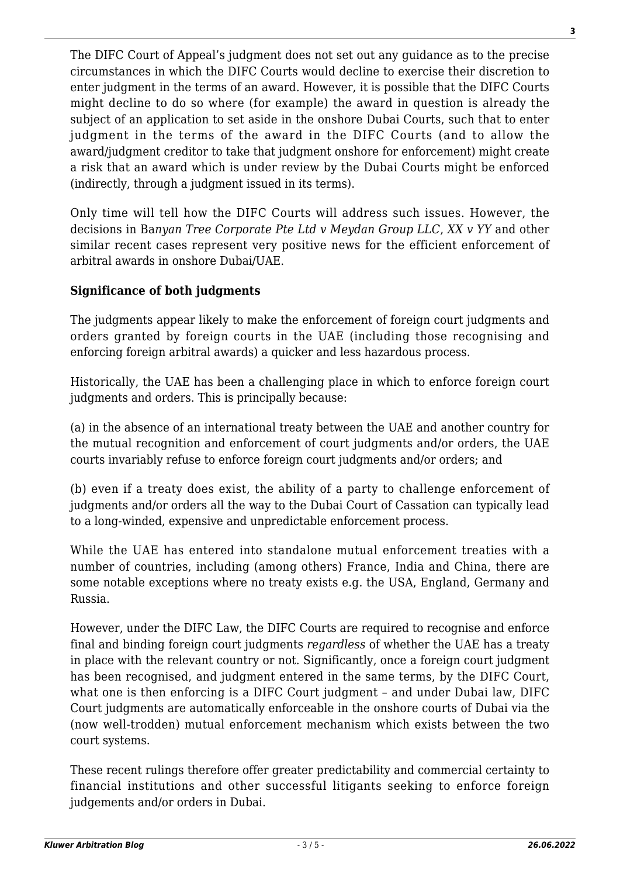The DIFC Court of Appeal's judgment does not set out any guidance as to the precise circumstances in which the DIFC Courts would decline to exercise their discretion to enter judgment in the terms of an award. However, it is possible that the DIFC Courts might decline to do so where (for example) the award in question is already the subject of an application to set aside in the onshore Dubai Courts, such that to enter judgment in the terms of the award in the DIFC Courts (and to allow the award/judgment creditor to take that judgment onshore for enforcement) might create a risk that an award which is under review by the Dubai Courts might be enforced (indirectly, through a judgment issued in its terms).

Only time will tell how the DIFC Courts will address such issues. However, the decisions in Ba*nyan Tree Corporate Pte Ltd v Meydan Group LLC*, *XX v YY* and other similar recent cases represent very positive news for the efficient enforcement of arbitral awards in onshore Dubai/UAE.

## **Significance of both judgments**

The judgments appear likely to make the enforcement of foreign court judgments and orders granted by foreign courts in the UAE (including those recognising and enforcing foreign arbitral awards) a quicker and less hazardous process.

Historically, the UAE has been a challenging place in which to enforce foreign court judgments and orders. This is principally because:

(a) in the absence of an international treaty between the UAE and another country for the mutual recognition and enforcement of court judgments and/or orders, the UAE courts invariably refuse to enforce foreign court judgments and/or orders; and

(b) even if a treaty does exist, the ability of a party to challenge enforcement of judgments and/or orders all the way to the Dubai Court of Cassation can typically lead to a long-winded, expensive and unpredictable enforcement process.

While the UAE has entered into standalone mutual enforcement treaties with a number of countries, including (among others) France, India and China, there are some notable exceptions where no treaty exists e.g. the USA, England, Germany and Russia.

However, under the DIFC Law, the DIFC Courts are required to recognise and enforce final and binding foreign court judgments *regardless* of whether the UAE has a treaty in place with the relevant country or not. Significantly, once a foreign court judgment has been recognised, and judgment entered in the same terms, by the DIFC Court, what one is then enforcing is a DIFC Court judgment – and under Dubai law, DIFC Court judgments are automatically enforceable in the onshore courts of Dubai via the (now well-trodden) mutual enforcement mechanism which exists between the two court systems.

These recent rulings therefore offer greater predictability and commercial certainty to financial institutions and other successful litigants seeking to enforce foreign judgements and/or orders in Dubai.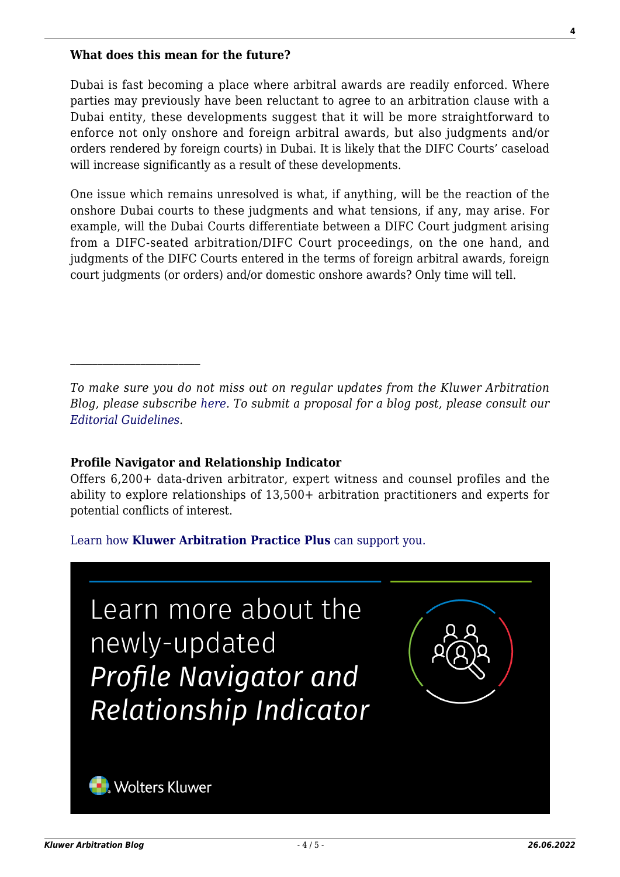#### **What does this mean for the future?**

Dubai is fast becoming a place where arbitral awards are readily enforced. Where parties may previously have been reluctant to agree to an arbitration clause with a Dubai entity, these developments suggest that it will be more straightforward to enforce not only onshore and foreign arbitral awards, but also judgments and/or orders rendered by foreign courts) in Dubai. It is likely that the DIFC Courts' caseload will increase significantly as a result of these developments.

One issue which remains unresolved is what, if anything, will be the reaction of the onshore Dubai courts to these judgments and what tensions, if any, may arise. For example, will the Dubai Courts differentiate between a DIFC Court judgment arising from a DIFC-seated arbitration/DIFC Court proceedings, on the one hand, and judgments of the DIFC Courts entered in the terms of foreign arbitral awards, foreign court judgments (or orders) and/or domestic onshore awards? Only time will tell.

#### **Profile Navigator and Relationship Indicator**

Offers 6,200+ data-driven arbitrator, expert witness and counsel profiles and the ability to explore relationships of 13,500+ arbitration practitioners and experts for potential conflicts of interest.

#### [Learn how](https://www.wolterskluwer.com/en/solutions/kluwerarbitration/practiceplus?utm_source=arbitrationblog&utm_medium=articleCTA&utm_campaign=article-banner) **[Kluwer Arbitration Practice Plus](https://www.wolterskluwer.com/en/solutions/kluwerarbitration/practiceplus?utm_source=arbitrationblog&utm_medium=articleCTA&utm_campaign=article-banner)** [can support you.](https://www.wolterskluwer.com/en/solutions/kluwerarbitration/practiceplus?utm_source=arbitrationblog&utm_medium=articleCTA&utm_campaign=article-banner)



*To make sure you do not miss out on regular updates from the Kluwer Arbitration Blog, please subscribe [here](http://arbitrationblog.kluwerarbitration.com/newsletter/). To submit a proposal for a blog post, please consult our [Editorial Guidelines.](http://arbitrationblog.kluwerarbitration.com/editorial-guidelines/)*